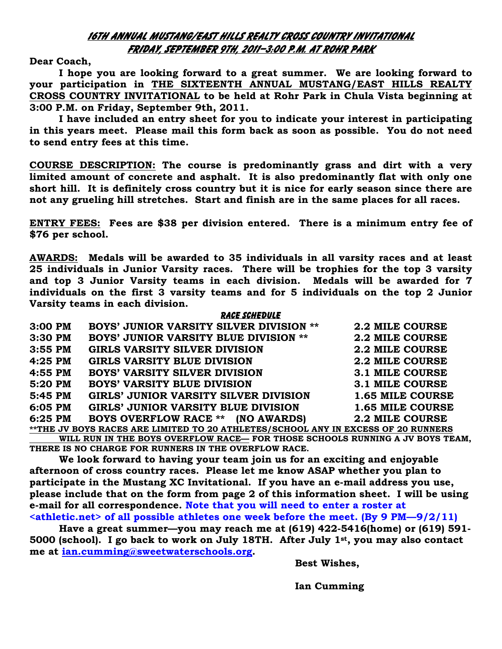## 16th annual mustang/East Hills Realty cross country invitational Friday, September 9th, 2011—3:00 p.m. at rohr park

Dear Coach,

 I hope you are looking forward to a great summer. We are looking forward to your participation in THE SIXTEENTH ANNUAL MUSTANG/EAST HILLS REALTY CROSS COUNTRY INVITATIONAL to be held at Rohr Park in Chula Vista beginning at 3:00 P.M. on Friday, September 9th, 2011.

 I have included an entry sheet for you to indicate your interest in participating in this years meet. Please mail this form back as soon as possible. You do not need to send entry fees at this time.

COURSE DESCRIPTION: The course is predominantly grass and dirt with a very limited amount of concrete and asphalt. It is also predominantly flat with only one short hill. It is definitely cross country but it is nice for early season since there are not any grueling hill stretches. Start and finish are in the same places for all races.

ENTRY FEES: Fees are \$38 per division entered. There is a minimum entry fee of \$76 per school.

AWARDS: Medals will be awarded to 35 individuals in all varsity races and at least 25 individuals in Junior Varsity races. There will be trophies for the top 3 varsity and top 3 Junior Varsity teams in each division. Medals will be awarded for 7 individuals on the first 3 varsity teams and for 5 individuals on the top 2 Junior Varsity teams in each division.

|           | <b>RACE SCHEDULE</b>                                                              |                        |
|-----------|-----------------------------------------------------------------------------------|------------------------|
| $3:00$ PM | <b>BOYS' JUNIOR VARSITY SILVER DIVISION **</b>                                    | <b>2.2 MILE COURSE</b> |
| $3:30$ PM | <b>BOYS' JUNIOR VARSITY BLUE DIVISION **</b>                                      | 2.2 MILE COURSE        |
| $3:55$ PM | <b>GIRLS VARSITY SILVER DIVISION</b>                                              | <b>2.2 MILE COURSE</b> |
| $4:25$ PM | <b>GIRLS VARSITY BLUE DIVISION</b>                                                | <b>2.2 MILE COURSE</b> |
| 4:55 PM   | <b>BOYS' VARSITY SILVER DIVISION</b>                                              | 3.1 MILE COURSE        |
| 5:20 PM   | <b>BOYS' VARSITY BLUE DIVISION</b>                                                | 3.1 MILE COURSE        |
| 5:45 PM   | <b>GIRLS' JUNIOR VARSITY SILVER DIVISION</b>                                      | 1.65 MILE COURSE       |
| 6:05 PM   | <b>GIRLS' JUNIOR VARSITY BLUE DIVISION</b>                                        | 1.65 MILE COURSE       |
| 6:25 PM   | <b>BOYS OVERFLOW RACE **</b><br>(NO AWARDS)                                       | <b>2.2 MILE COURSE</b> |
|           | **THE JV BOYS RACES ARE LIMITED TO 20 ATHLETES/SCHOOL ANY IN EXCESS OF 20 RUNNERS |                        |

 WILL RUN IN THE BOYS OVERFLOW RACE— FOR THOSE SCHOOLS RUNNING A JV BOYS TEAM, THERE IS NO CHARGE FOR RUNNERS IN THE OVERFLOW RACE.

 We look forward to having your team join us for an exciting and enjoyable afternoon of cross country races. Please let me know ASAP whether you plan to participate in the Mustang XC Invitational. If you have an e-mail address you use, please include that on the form from page 2 of this information sheet. I will be using e-mail for all correspondence. Note that you will need to enter a roster at  $\alpha$  <athletic.net of all possible athletes one week before the meet. (By 9 PM--9/2/11)

 Have a great summer—you may reach me at (619) 422-5416(home) or (619) 591- 5000 (school). I go back to work on July 18TH. After July 1st, you may also contact me at ian.cumming@sweetwaterschools.org.

Best Wishes,

Ian Cumming